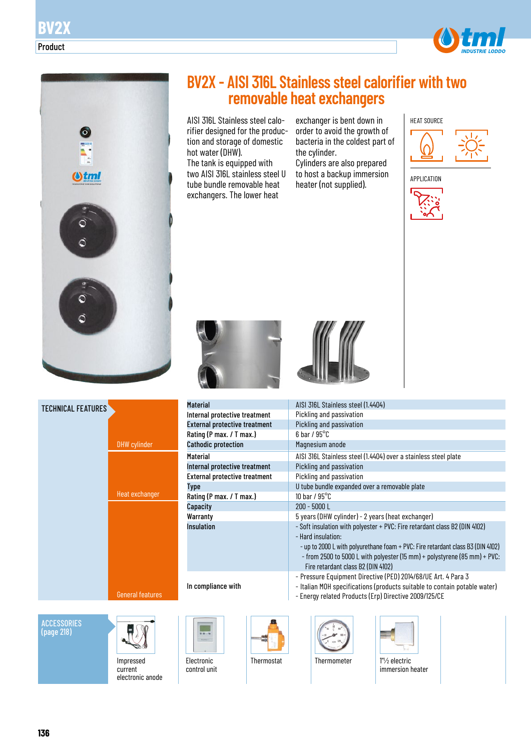





**ACCESSORIES** (page 218)



Impressed current electronic anode

|  | <b>BV2X - AISI 316L Stainless steel calorifier with two</b> |  |  |
|--|-------------------------------------------------------------|--|--|
|  | removable heat exchangers                                   |  |  |

AISI 316L Stainless steel calorifier designed for the production and storage of domestic hot water (DHW). The tank is equipped with two AISI 316L stainless steel U tube bundle removable heat exchangers. The lower heat

exchanger is bent down in order to avoid the growth of bacteria in the coldest part of the cylinder.

Cylinders are also prepared to host a backup immersion to host a backup influention<br>heater (not supplied).





Material



| Material                             | AISI 316L Stainless steel (1.4404)                                                                                                                                                                                                                                                                     |
|--------------------------------------|--------------------------------------------------------------------------------------------------------------------------------------------------------------------------------------------------------------------------------------------------------------------------------------------------------|
| Internal protective treatment        | Pickling and passivation                                                                                                                                                                                                                                                                               |
| <b>External protective treatment</b> | Pickling and passivation                                                                                                                                                                                                                                                                               |
| Rating (P max. / T max.)             | $6$ bar / $95^{\circ}$ C                                                                                                                                                                                                                                                                               |
| <b>Cathodic protection</b>           | Magnesium anode                                                                                                                                                                                                                                                                                        |
| Material                             | AISI 316L Stainless steel (1.4404) over a stainless steel plate                                                                                                                                                                                                                                        |
| Internal protective treatment        | Pickling and passivation                                                                                                                                                                                                                                                                               |
| <b>External protective treatment</b> | Pickling and passivation                                                                                                                                                                                                                                                                               |
| <b>Type</b>                          | U tube bundle expanded over a removable plate                                                                                                                                                                                                                                                          |
| Rating (P max. / T max.)             | 10 bar / $95^{\circ}$ C                                                                                                                                                                                                                                                                                |
| Capacity                             | 200 - 5000 L                                                                                                                                                                                                                                                                                           |
| Warranty                             | 5 years (DHW cylinder) - 2 years (heat exchanger)                                                                                                                                                                                                                                                      |
| <b>Insulation</b>                    | - Soft insulation with polyester + PVC: Fire retardant class B2 (DIN 4102)<br>- Hard insulation:<br>- up to 2000 L with polyurethane foam + PVC: Fire retardant class B3 (DIN 4102)<br>- from 2500 to 5000 L with polyester (15 mm) + polystyrene (85 mm) + PVC:<br>Fire retardant class B2 (DIN 4102) |
| In compliance with                   | - Pressure Equipment Directive (PED) 2014/68/UE Art. 4 Para 3<br>- Italian MOH specifications (products suitable to contain potable water)<br>Eparay related Products (Ern) Directive 2000/125/CE                                                                                                      |

- Energy related Products (Erp) Directive 2009/125/CE



Electronic control unit





Thermostat Thermometer 1" /2 electric



immersion heater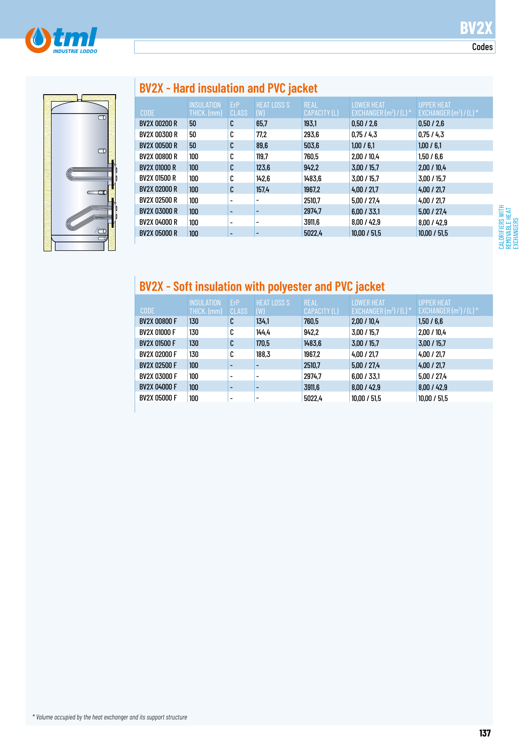



# **BV2X - Hard insulation and PVC jacket**

|                     | <b>INSULATION</b> | ErP          | <b>HEAT LOSS S</b> | <b>REAL</b>  | <b>LOWER HEAT</b>                   | <b>UPPER HEAT</b>         |
|---------------------|-------------------|--------------|--------------------|--------------|-------------------------------------|---------------------------|
| <b>CODE</b>         | THICK. (mm)       | <b>CLASS</b> | (W)                | CAPACITY (L) | EXCHANGER $(m2) / (L)$ <sup>*</sup> | EXCHANGER $(m^2) / (L)$ * |
| <b>BV2X 00200 R</b> | 50                | C            | 65,7               | 193,1        | 0,50/2,6                            | 0,50/2,6                  |
| BV2X 00300 R        | 50                | C            | 77,2               | 293,6        | 0,75/4,3                            | 0,75/4,3                  |
| <b>BV2X 00500 R</b> | 50                | C            | 89,6               | 503,6        | 1,00/6,1                            | 1,00/6,1                  |
| BV2X 00800 R        | 100               | C            | 119,7              | 760,5        | 2,00/10,4                           | 1,50/6,6                  |
| <b>BV2X 01000 R</b> | 100               | C            | 123,6              | 942,2        | 3,00/15,7                           | 2,00/10,4                 |
| BV2X 01500 R        | 100               | C            | 142,6              | 1483,6       | 3.00 / 15.7                         | 3,00/15.7                 |
| <b>BV2X 02000 R</b> | 100               | C            | 157,4              | 1967,2       | 4,00/21,7                           | 4,00/21,7                 |
| BV2X 02500 R        | 100               |              |                    | 2510,7       | 5,00/27,4                           | 4,00/21,7                 |
| <b>BV2X 03000 R</b> | 100               |              |                    | 2974,7       | 6,00/33,1                           | 5,00/27,4                 |
| <b>BV2X 04000 R</b> | 100               |              | ۰                  | 3911,6       | 8,00/42,9                           | 8,00/42,9                 |
| <b>BV2X 05000 R</b> | 100               |              |                    | 5022,4       | 10.00 / 51.5                        | 10,00 / 51,5              |
|                     |                   |              |                    |              |                                     |                           |

## **BV2X - Soft insulation with polyester and PVC jacket**

| <b>CODE</b>         | <b>INSULATION</b><br>THICK. (mm) | ErP<br><b>CLASS</b>      | <b>HEAT LOSS S</b><br>(W) | <b>REAL</b><br>CAPACITY (L) | <b>LOWER HEAT</b><br>EXCHANGER $(m^2) / (L)^*$ | UPPER HEAT<br>$EXCHANGER(m2)/(L)*$ |
|---------------------|----------------------------------|--------------------------|---------------------------|-----------------------------|------------------------------------------------|------------------------------------|
| <b>BV2X 00800 F</b> | 130                              | C                        | 134,1                     | 760,5                       | 2,00/10,4                                      | 1,50/6,6                           |
| <b>BV2X 01000 F</b> | 130                              | C                        | 144.4                     | 942.2                       | 3,00/15.7                                      | 2,00/10.4                          |
| <b>BV2X 01500 F</b> | 130                              | C                        | 170,5                     | 1483,6                      | 3,00/15,7                                      | 3.00 / 15.7                        |
| <b>BV2X 02000 F</b> | 130                              | C                        | 188,3                     | 1967,2                      | 4,00/21,7                                      | 4,00/21,7                          |
| <b>BV2X 02500 F</b> | 100                              | $\overline{\phantom{0}}$ |                           | 2510,7                      | 5,00/27,4                                      | 4,00/21,7                          |
| <b>BV2X 03000 F</b> | 100                              | $\overline{\phantom{a}}$ | ٠                         | 2974.7                      | 6.00 / 33.1                                    | 5.00 / 27.4                        |
| <b>BV2X 04000 F</b> | 100                              | $\overline{\phantom{a}}$ |                           | 3911,6                      | 8,00/42,9                                      | 8,00/42.9                          |
| <b>BV2X 05000 F</b> | 100                              | $\overline{\phantom{a}}$ | ٠                         | 5022,4                      | 10,00 / 51,5                                   | 10,00 / 51,5                       |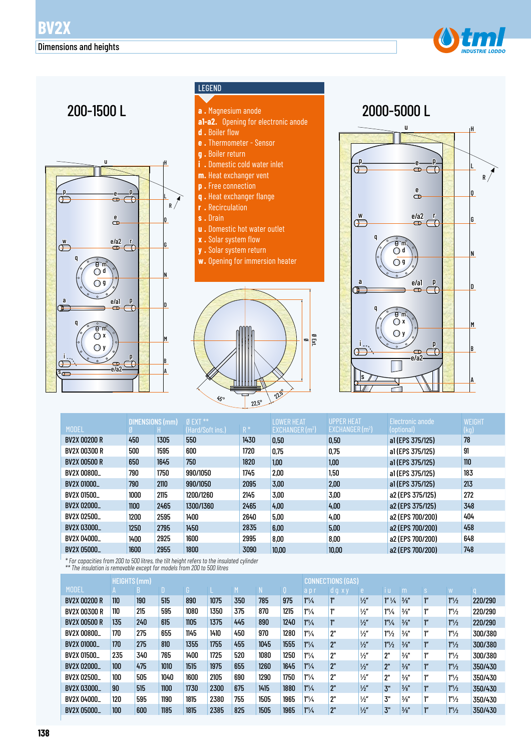



### LEGEND

- **a .** Magnesium anode
- **a1-a2.** Opening for electronic anode
- **d .** Boiler flow
- **e .** Thermometer Sensor
- **g .** Boiler return
- **i .** Domestic cold water inlet
- **m.** Heat exchanger vent
- **p .** Free connection
- **q .** Heat exchanger flange **r .** Recirculation
- **s .** Drain
- **u .** Domestic hot water outlet
- **x .** Solar system flow
- **y .** Solar system return
- **w.** Opening for immersion heater





|                     | DIMENSIONS (mm) |      | $0$ EXT $**$     |       | <b>LOWER HEAT</b>          | <b>UPPER HEAT</b> | Electronic anode | WEIGHT |
|---------------------|-----------------|------|------------------|-------|----------------------------|-------------------|------------------|--------|
| <b>MODEL</b>        |                 |      | (Hard/Soft ins.) | $R^*$ | EXCHANGER(m <sup>2</sup> ) | EXCHANGER $(m2)$  | (optional)       | (kg)   |
| BV2X 00200 R        | 450             | 1305 | 550              | 1430  | 0,50                       | 0.50              | a1 (EPS 375/125) | 78     |
| <b>BV2X 00300 R</b> | 500             | 1595 | 600              | 1720  | 0.75                       | 0,75              | a1(EPS 375/125)  | 91     |
| <b>BV2X 00500 R</b> | 650             | 1645 | 750              | 1820  | 1,00                       | 1,00              | a1(EPS 375/125)  | 110    |
| <b>BV2X 00800_</b>  | 790             | 1750 | 990/1050         | 1745  | 2,00                       | 1,50              | a1(EPS 375/125)  | 183    |
| <b>BV2X 01000_</b>  | 790             | 2110 | 990/1050         | 2095  | 3.00                       | 2.00              | a1(EPS 375/125)  | 213    |
| <b>BV2X 01500_</b>  | 1000            | 2115 | 1200/1260        | 2145  | 3.00                       | 3.00              | a2 (EPS 375/125) | 272    |
| BV2X 02000          | 1100            | 2465 | 1300/1360        | 2465  | 4,00                       | 4.00              | a2 (EPS 375/125) | 348    |
| BV2X 02500          | 1200            | 2595 | 1400             | 2640  | 5,00                       | 4.00              | a2 (EPS 700/200) | 404    |
| BV2X 03000_         | 1250            | 2795 | 1450             | 2835  | 6,00                       | 5.00              | a2 (EPS 700/200) | 458    |
| BV2X 04000_         | 1400            | 2925 | 1600             | 2995  | 8,00                       | 8,00              | a2 (EPS 700/200) | 648    |
| <b>BV2X 05000_</b>  | 1600            | 2955 | 1800             | 3090  | 10,00                      | 10,00             | a2 (EPS 700/200) | 748    |

*\* For capacities from 200 to 500 litres, the tilt height refers to the insulated cylinder \*\* The insulation is removable except for models from 200 to 500 litres*

|                     | HEIGHTS (mm) |     |      |      |      |     |      | <b>CONNECTIONS (GAS)</b> |                  |                    |               |                   |                 |              |                       |         |
|---------------------|--------------|-----|------|------|------|-----|------|--------------------------|------------------|--------------------|---------------|-------------------|-----------------|--------------|-----------------------|---------|
| <b>MODEL</b>        |              |     |      | G.   |      | M   |      |                          | api              | dg X               | e.            | ΠU                | m               | <sub>S</sub> | ١W                    |         |
| <b>BV2X 00200 R</b> | 110          | 190 | 515  | 890  | 1075 | 350 | 785  | 975                      | $1''\frac{1}{4}$ |                    | $\frac{1}{2}$ | $1''\frac{1}{4}$  | $\frac{3}{8}$ " | ľ"           | $1''\frac{1}{2}$      | 220/290 |
| <b>BV2X 00300 R</b> | 110          | 215 | 595  | 1080 | 1350 | 375 | 870  | 1215                     | $1''\frac{1}{4}$ | 111                | $\frac{1}{2}$ | 1''/4             | $\frac{3}{8}$ " | ľ"           | 1 <sup>n</sup> /2     | 220/290 |
| <b>BV2X 00500 R</b> | 135          | 240 | 615  | 1105 | 1375 | 445 | 890  | 1240                     | $1''\frac{1}{4}$ | $1^{\prime\prime}$ | $\frac{1}{2}$ | 1 <sup>m</sup> /4 | $\frac{3}{8}$ " | ľ"           | $1''\frac{1}{2}$      | 220/290 |
| BV2X 00800          | 170          | 275 | 655  | 1145 | 1410 | 450 | 970  | 1280                     | $1''\frac{1}{4}$ | 2"                 | $\frac{1}{2}$ | 1 <sup>n</sup> /2 | $\frac{3}{8}$ " | ľ"           | $1^{\prime\prime}/_2$ | 300/380 |
| BV2X 01000          | 170          | 275 | 810  | 1355 | 1755 | 455 | 1045 | 1555                     | $1''\frac{1}{4}$ | 2"                 | $\frac{1}{2}$ | 1 <sup>n</sup> /2 | $\frac{3}{8}$ " | ľ"           | $1''\frac{1}{2}$      | 300/380 |
| BV2X 01500          | 235          | 340 | 765  | 1400 | 1725 | 520 | 1080 | 1250                     | $1''\frac{1}{4}$ | 2"                 | $\frac{1}{2}$ | 2"                | $\frac{3}{8}$ " | ľ"           | $1''\frac{1}{2}$      | 300/380 |
| BV2X 02000          | 100          | 475 | 1010 | 1515 | 1975 | 655 | 1260 | 1645                     | $1''\frac{1}{4}$ | 2"                 | $\frac{1}{2}$ | 2"                | $\frac{3}{8}$ " | ľ"           | $1''\frac{1}{2}$      | 350/430 |
| BV2X 02500          | 100          | 505 | 1040 | 1600 | 2105 | 690 | 1290 | 1750                     | $1''\frac{1}{4}$ | 2"                 | $\frac{1}{2}$ | 2"                | $\frac{3}{8}$ " | ľ"           | $1''\frac{1}{2}$      | 350/430 |
| BV2X 03000          | 90           | 515 | 1100 | 1730 | 2300 | 675 | 1415 | 1880                     | $1''\frac{1}{4}$ | 2"                 | $\frac{1}{2}$ | 3"                | $\frac{3}{8}$ " | ľ"           | $1''\frac{1}{2}$      | 350/430 |
| BV2X 04000          | 120          | 595 | 1190 | 1815 | 2380 | 755 | 1505 | 1965                     | $1''\frac{1}{4}$ | 2"                 | $\frac{1}{2}$ | 3"                | $\frac{3}{8}$ " | ľ"           | $1''\frac{1}{2}$      | 350/430 |
| <b>BV2X 05000_</b>  | 100          | 600 | 1185 | 1815 | 2385 | 825 | 1505 | 1965                     | $1''\frac{1}{4}$ | 2"                 | $\frac{1}{2}$ | 3"                | $\frac{3}{8}$ " | ľ"           | $1''\frac{1}{2}$      | 350/430 |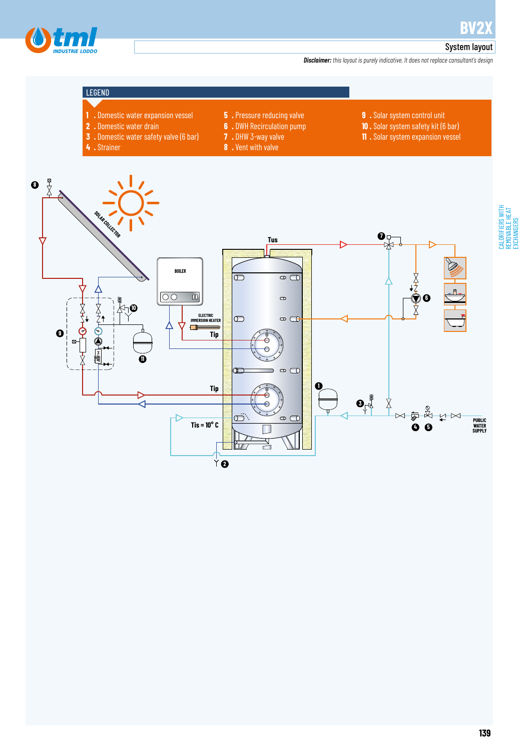



### System layout

*Disclaimer: this layout is purely indicative. It does not replace consultant's design*

### LEGEND

**4 .** Strainer

- **1 .** Domestic water expansion vessel
- **2 .** Domestic water drain
- **3 .** Domestic water safety valve (6 bar)
	-
- **6 .** DWH Recirculation pump **7 .** DHW 3-way valve

**5 .** Pressure reducing valve

**8 .** Vent with valve

- **9 .** Solar system control unit
- **10 .** Solar system safety kit (6 bar)
- **11 .** Solar system expansion vessel

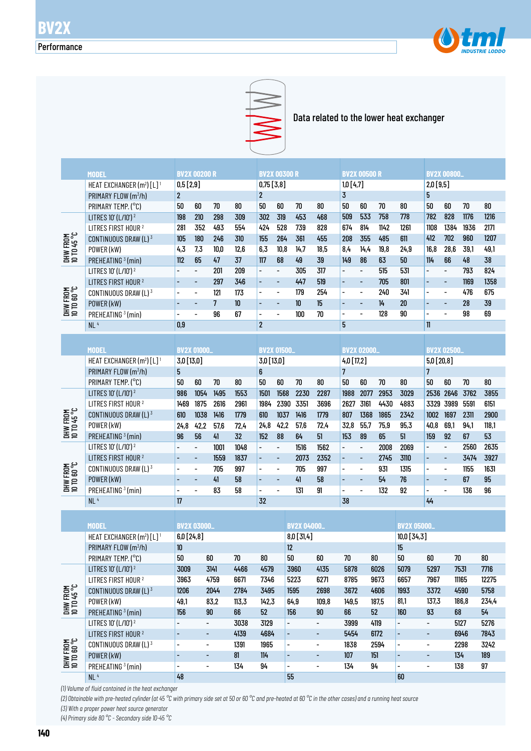



Data related to the lower heat exchanger

|                         | <b>MODEL</b>                                      |                          | <b>BV2X 00200 R</b>          |                |      |                          | <b>BV2X 00300 R</b>      |      |      |                          | <b>BV2X 00500 R</b>      |      |      |                          | <b>BV2X 00800_</b>       |      |       |
|-------------------------|---------------------------------------------------|--------------------------|------------------------------|----------------|------|--------------------------|--------------------------|------|------|--------------------------|--------------------------|------|------|--------------------------|--------------------------|------|-------|
|                         | HEAT EXCHANGER (m <sup>2</sup> ) [L] <sup>1</sup> | 0,5[2,9]                 |                              |                |      | $0,75$ [3,8]             |                          |      |      | 1,0[4,7]                 |                          |      |      | 2,0[9,5]                 |                          |      |       |
|                         | PRIMARY FLOW (m3/h)                               | $\overline{2}$           |                              |                |      | $\overline{2}$           |                          |      |      | $\overline{\mathbf{3}}$  |                          |      |      | 5                        |                          |      |       |
|                         | PRIMARY TEMP. (°C)                                | 50                       | 60                           | 70             | 80   | 50                       | 60                       | 70   | 80   | 50                       | 60                       | 70   | 80   | 50                       | 60                       | 70   | 80    |
|                         | LITRES 10' (L/10') <sup>2</sup>                   | 198                      | 210                          | 298            | 309  | 302                      | 319                      | 453  | 468  | 509                      | 533                      | 758  | 778  | 782                      | 828                      | 1176 | 1216  |
|                         | LITRES FIRST HOUR <sup>2</sup>                    | 281                      | 352                          | 493            | 554  | 424                      | 528                      | 739  | 828  | 674                      | 814                      | 1142 | 1261 | 1108                     | 1384                     | 1936 | 2171  |
|                         | CONTINUOUS DRAW (L) 3                             | 105                      | 180                          | 246            | 310  | 155                      | 264                      | 361  | 455  | 208                      | 355                      | 485  | 611  | 412                      | 702                      | 960  | 1207  |
|                         | POWER (kW)                                        | 4,3                      | 7,3                          | 10.0           | 12.6 | 6,3                      | 10.8                     | 14.7 | 18.5 | 8,4                      | 14.4                     | 19.8 | 24.9 | 16.8                     | 28,6                     | 39.1 | 49,1  |
| DHW FROM<br>10 TD 45 °C | PREHEATING <sup>3</sup> (min)                     | 112                      | 65                           | 47             | 37   | 117                      | 68                       | 49   | 39   | 149                      | 86                       | 63   | 50   | 114                      | 66                       | 48   | 38    |
|                         | LITRES 10' (L/10') <sup>2</sup>                   | $\overline{a}$           | $\overline{\phantom{a}}$     | 201            | 209  | $\overline{\phantom{a}}$ | $\overline{\phantom{a}}$ | 305  | 317  | $\overline{\phantom{a}}$ | $\overline{\phantom{a}}$ | 515  | 531  |                          | $\overline{\phantom{a}}$ | 793  | 824   |
|                         | LITRES FIRST HOUR <sup>2</sup>                    | $\overline{\phantom{0}}$ | ٠                            | 297            | 346  | $\overline{\phantom{a}}$ | $\overline{\phantom{m}}$ | 447  | 519  | $\overline{\phantom{a}}$ | $\overline{\phantom{a}}$ | 705  | 801  | $\overline{\phantom{0}}$ | $\overline{\phantom{a}}$ | 1169 | 1358  |
| DHW FROM<br>10 TO 60 °C | CONTINUOUS DRAW (L) 3                             | $\overline{\phantom{a}}$ | $\overline{\phantom{a}}$     | 121            | 173  | $\overline{\phantom{a}}$ | $\overline{\phantom{a}}$ | 179  | 254  | $\overline{\phantom{a}}$ | $\overline{\phantom{a}}$ | 240  | 341  | $\overline{\phantom{0}}$ | $\overline{\phantom{a}}$ | 476  | 675   |
|                         | POWER (kW)                                        | $\overline{a}$           | $\blacksquare$               | $\overline{7}$ | 10   | ÷,                       | $\overline{\phantom{a}}$ | 10   | 15   |                          | $\overline{\phantom{a}}$ | 14   | 20   | ÷                        | $\overline{\phantom{a}}$ | 28   | 39    |
|                         | PREHEATING <sup>3</sup> (min)                     | $\overline{\phantom{0}}$ | $\overline{\phantom{0}}$     | 96             | 67   | $\overline{\phantom{a}}$ | $\overline{\phantom{0}}$ | 100  | 70   | $\overline{\phantom{0}}$ | $\overline{a}$           | 128  | 90   | $\overline{\phantom{0}}$ | $\blacksquare$           | 98   | 69    |
|                         | NL <sup>4</sup>                                   | 0,9                      |                              |                |      | $\overline{2}$           |                          |      |      | 5                        |                          |      |      | $\mathbf{1}$             |                          |      |       |
|                         |                                                   |                          |                              |                |      |                          |                          |      |      |                          |                          |      |      |                          |                          |      |       |
|                         |                                                   |                          |                              |                |      |                          |                          |      |      |                          |                          |      |      |                          |                          |      |       |
|                         | <b>MODEL</b>                                      |                          | <b>BV2X 01000.</b>           |                |      |                          | <b>BV2X 01500_</b>       |      |      |                          | <b>BV2X 02000.</b>       |      |      |                          | <b>BV2X 02500.</b>       |      |       |
|                         | HEAT EXCHANGER (m <sup>2</sup> ) [L] <sup>1</sup> | 3,0 [13,0]               |                              |                |      | 3,0 [13,0]               |                          |      |      | 4,0 [17,2]               |                          |      |      | 5,0 [20,8]               |                          |      |       |
|                         | PRIMARY FLOW (m3/h)                               | 5                        |                              |                |      | 6                        |                          |      |      | $\overline{\mathcal{L}}$ |                          |      |      | 7                        |                          |      |       |
|                         | PRIMARY TEMP. (°C)                                | 50                       | 60                           | 70             | 80   | 50                       | 60                       | 70   | 80   | 50                       | 60                       | 70   | 80   | 50                       | 60                       | 70   | 80    |
|                         | LITRES 10' (L/10') <sup>2</sup>                   | 986                      | 1054                         | 1495           | 1553 | 1501                     | 1568                     | 2230 | 2287 | 1988                     | 2077                     | 2953 | 3029 | 2536                     | 2646                     | 3762 | 3855  |
|                         | LITRES FIRST HOUR <sup>2</sup>                    | 1469                     | 1875                         | 2616           | 2961 | 1984                     | 2390                     | 3351 | 3696 | 2627                     | 3161                     | 4430 | 4883 | 3329                     | 3989                     | 5591 | 6151  |
|                         | CONTINUOUS DRAW (L) 3                             | 610                      | 1038                         | 1416           | 1779 | 610                      | 1037                     | 1416 | 1779 | 807                      | 1368                     | 1865 | 2342 | 1002                     | 1697                     | 2311 | 2900  |
|                         | POWER (kW)                                        | 24,8                     | 42,2                         | 57,6           | 72,4 | 24,8                     | 42,2                     | 57,6 | 72,4 | 32,8                     | 55,7                     | 75,9 | 95,3 | 40,8                     | 69,1                     | 94.1 | 118,1 |
| DHW FROM<br>10 TD 45 °C | PREHEATING <sup>3</sup> (min)                     | 96                       | 56                           | 41             | 32   | 152                      | 88                       | 64   | 51   | 153                      | 89                       | 65   | 51   | 159                      | 92                       | 67   | 53    |
|                         | LITRES 10' (L/10') <sup>2</sup>                   | $\overline{\phantom{0}}$ | $\overline{\phantom{a}}$     | 1001           | 1048 | $\overline{\phantom{a}}$ | $\overline{\phantom{a}}$ | 1516 | 1562 | $\overline{\phantom{a}}$ | $\overline{\phantom{a}}$ | 2008 | 2069 | $\overline{\phantom{0}}$ | $\overline{\phantom{a}}$ | 2560 | 2635  |
|                         | LITRES FIRST HOUR <sup>2</sup>                    | $\overline{\phantom{m}}$ | $\overline{\phantom{a}}$     | 1559           | 1837 | ÷,                       | $\blacksquare$           | 2073 | 2352 | $\overline{\phantom{a}}$ | $\overline{\phantom{a}}$ | 2745 | 3110 | ÷,                       | $\overline{\phantom{a}}$ | 3474 | 3927  |
|                         | CONTINUOUS DRAW (L) 3                             | $\overline{\phantom{a}}$ | $\qquad \qquad \blacksquare$ | 705            | 997  | $\overline{\phantom{a}}$ | $\overline{\phantom{a}}$ | 705  | 997  | $\overline{\phantom{a}}$ | $\overline{\phantom{a}}$ | 931  | 1315 | -                        | $\overline{\phantom{a}}$ | 1155 | 1631  |
|                         | POWER (kW)                                        | $\overline{\phantom{a}}$ | $\overline{\phantom{a}}$     | 41             | 58   | $\overline{\phantom{a}}$ | $\overline{\phantom{a}}$ | 41   | 58   | $\overline{\phantom{a}}$ | $\overline{\phantom{a}}$ | 54   | 76   | -                        | $\overline{\phantom{a}}$ | 67   | 95    |
| DHW FROM<br>10 TO 60 °C | PREHEATING <sup>3</sup> (min)                     | $\overline{\phantom{0}}$ | $\overline{\phantom{0}}$     | 83             | 58   | $\overline{\phantom{a}}$ | $\frac{1}{2}$            | 131  | 91   | $\blacksquare$           | $\overline{\phantom{a}}$ | 132  | 92   | $\overline{\phantom{0}}$ | $\overline{\phantom{a}}$ | 136  | 96    |
|                         | NL <sup>4</sup>                                   | 17                       |                              |                |      | 32                       |                          |      |      | 38                       |                          |      |      | 44                       |                          |      |       |

|                                 | <b>MODEL</b>                                      | <b>BV2X 03000_</b>       |                          |       |       | <b>BV2X 04000_</b>       |                          |       |       | <b>BV2X 05000_</b>       |                          |       |       |
|---------------------------------|---------------------------------------------------|--------------------------|--------------------------|-------|-------|--------------------------|--------------------------|-------|-------|--------------------------|--------------------------|-------|-------|
|                                 | HEAT EXCHANGER (m <sup>2</sup> ) [L] <sup>1</sup> | 6,0[24,8]                |                          |       |       | $8,0$ [31,4]             |                          |       |       | $10,0$ [34,3]            |                          |       |       |
|                                 | PRIMARY FLOW (m <sup>3</sup> /h)                  | 10 <sup>°</sup>          |                          |       |       | 12                       |                          |       |       | 15                       |                          |       |       |
|                                 | PRIMARY TEMP. (°C)                                | 50                       | 60                       | 70    | 80    | 50                       | 60                       | 70    | 80    | 50                       | 60                       | 70    | 80    |
|                                 | LITRES 10' (L/10') <sup>2</sup>                   | 3009                     | 3141                     | 4466  | 4579  | 3960                     | 4135                     | 5878  | 6026  | 5079                     | 5297                     | 7531  | 7716  |
|                                 | LITRES FIRST HOUR <sup>2</sup>                    | 3963                     | 4759                     | 6671  | 7346  | 5223                     | 6271                     | 8785  | 9673  | 6657                     | 7967                     | 11165 | 12275 |
| <b>DHW FROM<br/>10 TD 45 °C</b> | CONTINUOUS DRAW $(L)^3$                           | 1206                     | 2044                     | 2784  | 3495  | 1595                     | 2698                     | 3672  | 4606  | 1993                     | 3372                     | 4590  | 5758  |
|                                 | POWER (kW)                                        | 49,1                     | 83,2                     | 113,3 | 142,3 | 64,9                     | 109,8                    | 149,5 | 187,5 | 81.1                     | 137.3                    | 186,8 | 234.4 |
|                                 | PREHEATING <sup>3</sup> (min)                     | 156                      | 90                       | 66    | 52    | 156                      | 90                       | 66    | 52    | 160                      | 93                       | 68    | 54    |
|                                 | LITRES 10' (L/10') <sup>2</sup>                   | $\blacksquare$           | $\overline{\phantom{a}}$ | 3038  | 3129  | $\overline{\phantom{0}}$ | -                        | 3999  | 4119  | $\overline{\phantom{0}}$ | $\overline{\phantom{0}}$ | 5127  | 5276  |
|                                 | LITRES FIRST HOUR <sup>2</sup>                    | $\overline{a}$           | -                        | 4139  | 4684  | $\overline{\phantom{0}}$ | $\overline{\phantom{0}}$ | 5454  | 6172  | $\overline{\phantom{a}}$ | $\overline{\phantom{0}}$ | 6946  | 7843  |
|                                 | CONTINUOUS DRAW $(L)^3$                           | $\overline{\phantom{0}}$ | $\overline{\phantom{a}}$ | 1391  | 1965  | $\overline{\phantom{0}}$ | -                        | 1838  | 2594  |                          | $\overline{\phantom{0}}$ | 2298  | 3242  |
| DHW FROM<br>10 TO 60 °C         | POWER (kW)                                        | $\overline{a}$           | $\overline{\phantom{a}}$ | 81    | 114   |                          | $\overline{\phantom{0}}$ | 107   | 151   |                          |                          | 134   | 189   |
|                                 | PREHEATING <sup>3</sup> (min)                     | $\blacksquare$           | -                        | 134   | 94    | $\overline{\phantom{0}}$ | $\overline{\phantom{0}}$ | 134   | 94    | $\overline{\phantom{0}}$ | $\overline{\phantom{0}}$ | 138   | 97    |
|                                 | NL <sup>4</sup>                                   | 48                       |                          |       |       | 55                       |                          |       |       | 60                       |                          |       |       |

*(1) Volume of fluid contained in the heat exchanger*

*(2) Obtainable with pre-heated cylinder (at 45 °C with primary side set at 50 or 60 °C and pre-heated at 60 °C in the other cases) and a running heat source (3) With a proper power heat source generator*

*(4) Primary side 80 °C - Secondary side 10-45 °C*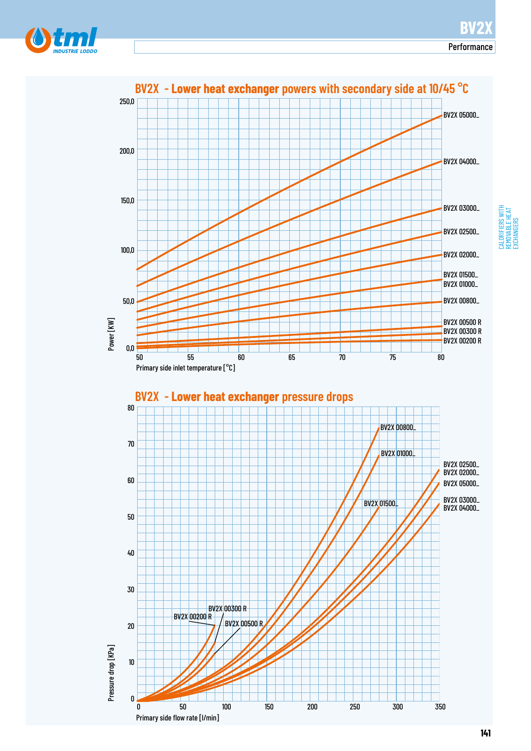



## CALORIFIERS WITH<br>REMOVABLE HEAT<br>EXCHANGERS CALORIFIERS WITH REMOVABLE HEAT EXCHANGERS

**141**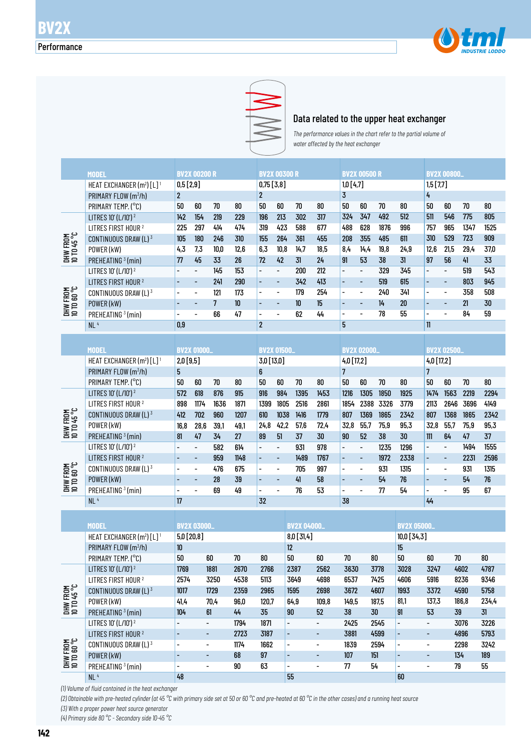



Data related to the upper heat exchanger

*The performance values in the chart refer to the partial volume of water affected by the heat exchanger* 

|                         | <b>MODEL</b>                                      |                | <b>BV2X 00200 R</b>      |                |      |                          | <b>BV2X 00300 R</b>      |      |      |                          | <b>BV2X 00500 R</b>      |      |                 |                          | <b>BV2X 00800_</b>       |      |        |  |
|-------------------------|---------------------------------------------------|----------------|--------------------------|----------------|------|--------------------------|--------------------------|------|------|--------------------------|--------------------------|------|-----------------|--------------------------|--------------------------|------|--------|--|
|                         | HEAT EXCHANGER (m <sup>2</sup> ) [L] <sup>1</sup> | 0,5[2,9]       |                          |                |      | $0,75$ [3,8]             |                          |      |      | 1,0[4,7]                 |                          |      |                 | 1,5[7,7]                 |                          |      |        |  |
|                         | PRIMARY FLOW (m <sup>3</sup> /h)                  | $\overline{2}$ |                          |                |      | $\overline{2}$           |                          |      |      | $\overline{3}$           |                          |      |                 | 4                        |                          |      |        |  |
|                         | PRIMARY TEMP. (°C)                                | 50             | 60                       | 70             | 80   | 50                       | 60                       | 70   | 80   | 50                       | 60                       | 70   | 80              | 50                       | 60                       | 70   | $80\,$ |  |
|                         | LITRES 10' (L/10') <sup>2</sup>                   | 142            | 154                      | 219            | 229  | 196                      | 213                      | 302  | 317  | 324                      | 347                      | 492  | 512             | 511                      | 546                      | 775  | 805    |  |
|                         | LITRES FIRST HOUR <sup>2</sup>                    | 225            | 297                      | 414            | 474  | 319                      | 423                      | 588  | 677  | 488                      | 628                      | 1876 | 996             | 757                      | 965                      | 1347 | 1525   |  |
|                         | CONTINUOUS DRAW (L) 3                             | 105            | 180                      | 246            | 310  | 155                      | 264                      | 361  | 455  | 208                      | 355                      | 485  | 611             | 310                      | 529                      | 723  | 909    |  |
| DHW FROM<br>10 TO 45 °C | POWER (kW)                                        | 4,3            | 7,3                      | 10,0           | 12,6 | 6,3                      | 10,8                     | 14,7 | 18,5 | 8,4                      | 14, 4                    | 19,8 | 24,9            | 12,6                     | 21,5                     | 29,4 | 37,0   |  |
|                         | PREHEATING <sup>3</sup> (min)                     | 77             | 45                       | 33             | 26   | 72                       | 42                       | 31   | 24   | 91                       | 53                       | 38   | 31              | 97                       | 56                       | 41   | 33     |  |
|                         | LITRES 10' (L/10') <sup>2</sup>                   |                | $\overline{\phantom{0}}$ | 145            | 153  | $\overline{\phantom{a}}$ | $\overline{\phantom{a}}$ | 200  | 212  | $\overline{\phantom{m}}$ | $\overline{\phantom{m}}$ | 329  | 345             | $\overline{\phantom{0}}$ | $\overline{\phantom{a}}$ | 519  | 543    |  |
|                         | LITRES FIRST HOUR <sup>2</sup>                    | -              | ٠                        | 241            | 290  | $\overline{\phantom{a}}$ | $\overline{\phantom{a}}$ | 342  | 413  | $\overline{\phantom{a}}$ | $\overline{\phantom{m}}$ | 519  | 615             | ٠                        | $\overline{\phantom{a}}$ | 803  | 945    |  |
|                         | CONTINUOUS DRAW (L) <sup>3</sup>                  |                | $\overline{\phantom{0}}$ | 121            | 173  | $\overline{a}$           | $\overline{\phantom{a}}$ | 179  | 254  | $\overline{\phantom{a}}$ | $\overline{\phantom{a}}$ | 240  | 341             | -                        | $\overline{\phantom{a}}$ | 358  | 508    |  |
| DHW FROM<br>10 TO 60 °C | POWER (kW)                                        |                | $\overline{\phantom{a}}$ | $\overline{7}$ | 10   | $\overline{\phantom{a}}$ | $\overline{\phantom{a}}$ | 10   | 15   | $\overline{\phantom{a}}$ | $\overline{\phantom{a}}$ | 14   | 20              | -                        | $\overline{\phantom{a}}$ | 21   | 30     |  |
|                         | PREHEATING <sup>3</sup> (min)                     |                |                          | 66             | 47   | $\overline{\phantom{a}}$ | $\overline{\phantom{a}}$ | 62   | 44   | $\overline{\phantom{a}}$ | $\blacksquare$           | 78   | 55              | -                        |                          | 84   | 59     |  |
|                         | NL <sup>4</sup>                                   | 0,9            |                          |                |      | $\overline{2}$           |                          |      |      | 5                        |                          |      |                 | $\mathbf{1}$             |                          |      |        |  |
|                         |                                                   |                |                          |                |      |                          |                          |      |      |                          |                          |      |                 |                          |                          |      |        |  |
|                         | <b>MODEL</b>                                      |                | <b>BV2X 01000</b>        |                |      |                          | <b>BV2X 01500_</b>       |      |      |                          | <b>BV2X 02000.</b>       |      |                 |                          | <b>BV2X 02500.</b>       |      |        |  |
|                         | HEAT EXCHANGER (m <sup>2</sup> ) [L] <sup>1</sup> | 2,0[9,5]       |                          |                |      | 3,0 [13,0]               |                          |      |      | 4,0 [17,2]               |                          |      |                 | 4,0 [17,2]               |                          |      |        |  |
|                         | PRIMARY FLOW (m <sup>3</sup> /h)                  | 5              |                          |                |      | 6                        |                          |      |      | $\overline{7}$           |                          |      |                 | $\overline{7}$           |                          |      |        |  |
|                         | PRIMARY TEMP. (°C)                                | 50             | 60                       | 70             | 80   | 50                       | 60                       | 70   | 80   | 50                       | 60                       | 70   | 80              | 50                       | 60                       | 70   | 80     |  |
|                         | LITRES 10' (L/10') <sup>2</sup>                   | 572            | 618                      | 876            | 915  | 916                      | 984                      | 1395 | 1453 | 1216                     | 1305                     | 1850 | 1925            | 1474                     | 1563                     | 2219 | 2294   |  |
|                         | LITRES FIRST HOUR <sup>2</sup>                    | 898            | 1174                     | 1636           | 1871 | 1399                     | 1805                     | 2516 | 2861 | 1854                     | 2388                     | 3326 | 3779            | 2113                     | 2646                     | 3696 | 4149   |  |
| DHW FROM<br>10 TO 45 °C | CONTINUOUS DRAW (L) 3                             | 412            | 702                      | 960            | 1207 | 610                      | 1038                     | 1416 | 1779 | 807                      | 1369                     | 1865 | 2342            | 807                      | 1368                     | 1865 | 2342   |  |
|                         | POWER (kW)                                        | 16,8           | 28,6                     | 39,1           | 49,1 | 24,8                     | 42,2                     | 57,6 | 72,4 | 32,8                     | 55,7                     | 75,9 | 95,3            | 32,8                     | 55.7                     | 75,9 | 95,3   |  |
|                         | PRFHFATING $3$ (min)                              | R1             | 47                       | 34             | 27   | 89                       | 51                       | 37   | 30   | $90^{\circ}$             | 52                       | 38   | 30 <sub>1</sub> | 111                      | 64                       | 47   | 37     |  |

|                                | PRIMARY FLOW (m <sup>3</sup> /h) | b                        |                          |      |      | 6                        |                          |      |      |                          |                          |      |      |                          |                          |      |      |
|--------------------------------|----------------------------------|--------------------------|--------------------------|------|------|--------------------------|--------------------------|------|------|--------------------------|--------------------------|------|------|--------------------------|--------------------------|------|------|
|                                | PRIMARY TEMP. (°C)               | 50                       | 60                       | 70   | 80   | 50                       | 60                       | 70   | 80   | 50                       | 60                       | 70   | 80   | 50                       | 60                       | 70   | 80   |
|                                | LITRES 10' (L/10') <sup>2</sup>  | 572                      | 618                      | 876  | 915  | 916                      | 984                      | 1395 | 1453 | 1216                     | 1305                     | 1850 | 1925 | 1474                     | 1563                     | 2219 | 2294 |
|                                | LITRES FIRST HOUR <sup>2</sup>   | 898                      | 1174                     | 1636 | 1871 | 1399                     | 1805                     | 2516 | 2861 | 1854                     | 2388                     | 3326 | 3779 | 2113                     | 2646                     | 3696 | 4149 |
|                                | CONTINUOUS DRAW (L) $3$          | 412                      | 702                      | 960  | 1207 | 610                      | 1038                     | 1416 | 1779 | 807                      | 1369                     | 1865 | 2342 | 807                      | 1368                     | 1865 | 2342 |
| DHW FROM<br>10 TD 45 °C        | POWER (kW)                       | 16,8                     | 28,6                     | 39,1 | 49,1 | 24,8                     | 42,2                     | 57,6 | 72.4 | 32.8                     | 55.7                     | 75,9 | 95,3 | 32,8                     | 55,7                     | 75,9 | 95,3 |
|                                | PREHEATING <sup>3</sup> (min)    | 81                       | 47                       | 34   | 27   | 89                       | 51                       | 37   | 30   | 90                       | 52                       | 38   | 30   | 111                      | 64                       | 47   | 37   |
|                                | LITRES 10' (L/10') <sup>2</sup>  | $\overline{\phantom{0}}$ | $\overline{\phantom{0}}$ | 582  | 614  | $\overline{\phantom{0}}$ | $\overline{\phantom{0}}$ | 931  | 978  |                          | $\overline{\phantom{0}}$ | 1235 | 1296 | $\overline{a}$           | $\overline{\phantom{a}}$ | 1494 | 1555 |
|                                | LITRES FIRST HOUR <sup>2</sup>   |                          | ۰                        | 959  | 1148 | $\overline{\phantom{0}}$ | $\overline{\phantom{a}}$ | 1489 | 1767 |                          | $\overline{\phantom{0}}$ | 1972 | 2338 | $\overline{a}$           | ۰                        | 2231 | 2596 |
| <b>DHW FROM</b><br>10 TO 60 °C | CONTINUOUS DRAW (L) $3$          | $\overline{\phantom{0}}$ | $\overline{\phantom{0}}$ | 476  | 675  |                          |                          | 705  | 997  |                          |                          | 931  | 1315 | $\overline{a}$           | $\overline{\phantom{0}}$ | 931  | 1315 |
|                                | POWER (kW)                       |                          | $\overline{\phantom{0}}$ | 28   | 39   |                          | $\overline{\phantom{0}}$ | 41   | 58   |                          | $\overline{\phantom{0}}$ | 54   | 76   |                          | $\overline{\phantom{0}}$ | 54   | 76   |
|                                | PREHEATING <sup>3</sup> (min)    | $\overline{\phantom{0}}$ | $\overline{\phantom{0}}$ | 69   | 49   | $\overline{\phantom{0}}$ |                          | 76   | 53   | $\overline{\phantom{0}}$ |                          | 77   | 54   | $\overline{\phantom{0}}$ | $\overline{\phantom{0}}$ | 95   | 67   |
|                                | NL <sup>4</sup>                  | 17                       |                          |      |      | 32                       |                          |      |      | 38                       |                          |      |      | 44                       |                          |      |      |

|                                 |                                                   | <b>BV2X 03000_</b>       |      |      |       |                          |                          |       |       |                          |                          |       |       |  |  |
|---------------------------------|---------------------------------------------------|--------------------------|------|------|-------|--------------------------|--------------------------|-------|-------|--------------------------|--------------------------|-------|-------|--|--|
|                                 | MODEL                                             |                          |      |      |       | <b>BV2X 04000_</b>       |                          |       |       | <b>BV2X 05000_</b>       |                          |       |       |  |  |
|                                 | HEAT EXCHANGER (m <sup>2</sup> ) [L] <sup>1</sup> | $5,0$ [20,8]             |      |      |       | $8,0$ [31,4]             |                          |       |       | $10,0$ [34,3]            |                          |       |       |  |  |
|                                 | PRIMARY FLOW (m <sup>3</sup> /h)                  | 10                       |      |      |       | 12                       |                          |       |       | 15                       |                          |       |       |  |  |
|                                 | PRIMARY TEMP. (°C)                                | 50                       | 60   | 70   | 80    | 50                       | 60                       | 70    | 80    | 50                       | 60                       | 70    | 80    |  |  |
|                                 | LITRES 10' (L/10') <sup>2</sup>                   | 1769                     | 1881 | 2670 | 2766  | 2387                     | 2562                     | 3630  | 3778  | 3028                     | 3247                     | 4602  | 4787  |  |  |
|                                 | LITRES FIRST HOUR <sup>2</sup>                    | 2574                     | 3250 | 4538 | 5113  | 3649                     | 4698                     | 6537  | 7425  | 4606                     | 5916                     | 8236  | 9346  |  |  |
| <b>DHW FROM<br/>10 TD 45 °C</b> | CONTINUOUS DRAW $(L)^3$                           | 1017                     | 1729 | 2359 | 2965  | 1595                     | 2698                     | 3672  | 4607  | 1993                     | 3372                     | 4590  | 5758  |  |  |
|                                 | POWER (kW)                                        | 41,4                     | 70,4 | 96,0 | 120.7 | 64,9                     | 109,8                    | 149,5 | 187.5 | 81.1                     | 137,3                    | 186,8 | 234,4 |  |  |
|                                 | PREHEATING <sup>3</sup> (min)                     | 104                      | 61   | 44   | 35    | 90                       | 52                       | 38    | 30    | 91                       | 53                       | 39    | 31    |  |  |
|                                 | LITRES 10' (L/10') 2                              | $\overline{a}$           | -    | 1794 | 1871  | $\overline{\phantom{0}}$ | -                        | 2425  | 2545  | $\overline{\phantom{0}}$ | -                        | 3076  | 3226  |  |  |
|                                 | LITRES FIRST HOUR <sup>2</sup>                    |                          | -    | 2723 | 3187  | $\overline{\phantom{0}}$ | -                        | 3881  | 4599  |                          | -                        | 4896  | 5793  |  |  |
| DHW FROM<br>10 TO 60 °C         | CONTINUOUS DRAW $(L)^3$                           | $\overline{\phantom{0}}$ | -    | 1174 | 1662  | $\overline{\phantom{0}}$ | $\overline{\phantom{a}}$ | 1839  | 2594  | $\overline{\phantom{0}}$ | $\overline{\phantom{a}}$ | 2298  | 3242  |  |  |
|                                 | POWER (kW)                                        | $\overline{\phantom{0}}$ | -    | 68   | 97    | $\overline{\phantom{0}}$ | -                        | 107   | 151   | $\overline{\phantom{0}}$ | ۰                        | 134   | 189   |  |  |
|                                 | PREHEATING <sup>3</sup> (min)                     | $\overline{\phantom{0}}$ | -    | 90   | 63    | $\overline{\phantom{0}}$ | -                        | 77    | 54    | $\overline{\phantom{0}}$ | -                        | 79    | 55    |  |  |
|                                 | NL <sup>4</sup>                                   | 48                       |      |      |       | 55                       |                          |       |       | 60                       |                          |       |       |  |  |

*(1) Volume of fluid contained in the heat exchanger*

*(2) Obtainable with pre-heated cylinder (at 45 °C with primary side set at 50 or 60 °C and pre-heated at 60 °C in the other cases) and a running heat source (3) With a proper power heat source generator*

*(4) Primary side 80 °C - Secondary side 10-45 °C*